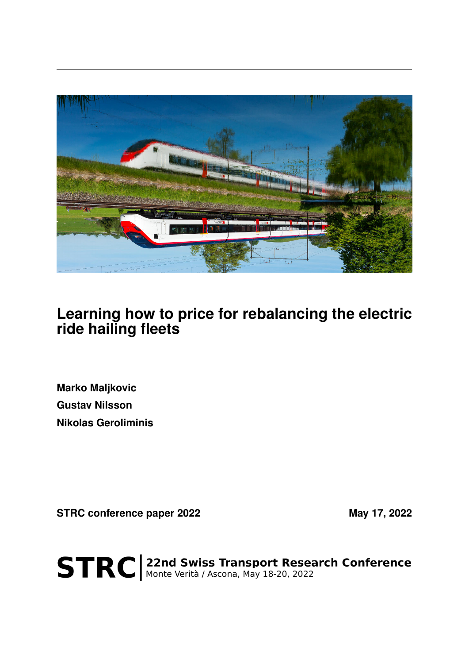

## **Learning how to price for rebalancing the electric ride hailing fleets**

**Marko Maljkovic Gustav Nilsson Nikolas Geroliminis**

STRC conference paper 2022 May 17, 2022

STRC | 22nd Swiss Transport Research Conference